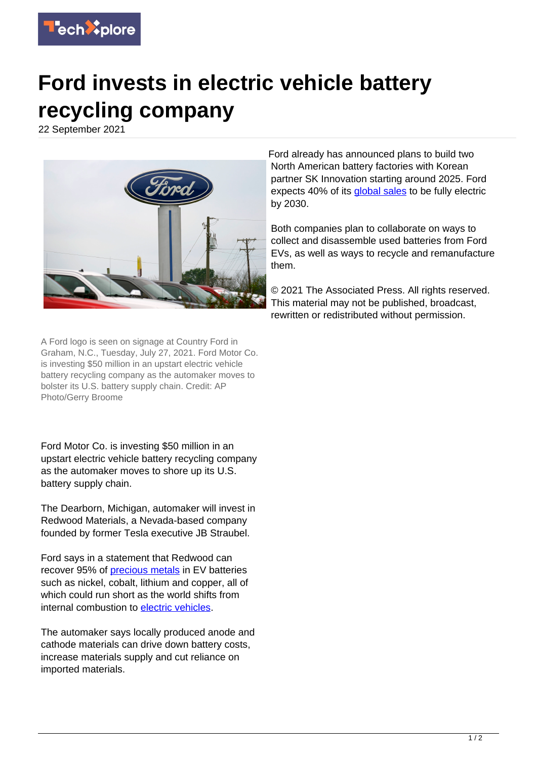

## **Ford invests in electric vehicle battery recycling company**

22 September 2021



Ford already has announced plans to build two North American battery factories with Korean partner SK Innovation starting around 2025. Ford expects 40% of its **global sales** to be fully electric by 2030.

Both companies plan to collaborate on ways to collect and disassemble used batteries from Ford EVs, as well as ways to recycle and remanufacture them.

© 2021 The Associated Press. All rights reserved. This material may not be published, broadcast, rewritten or redistributed without permission.

A Ford logo is seen on signage at Country Ford in Graham, N.C., Tuesday, July 27, 2021. Ford Motor Co. is investing \$50 million in an upstart electric vehicle battery recycling company as the automaker moves to bolster its U.S. battery supply chain. Credit: AP Photo/Gerry Broome

Ford Motor Co. is investing \$50 million in an upstart electric vehicle battery recycling company as the automaker moves to shore up its U.S. battery supply chain.

The Dearborn, Michigan, automaker will invest in Redwood Materials, a Nevada-based company founded by former Tesla executive JB Straubel.

Ford says in a statement that Redwood can recover 95% of [precious metals](https://techxplore.com/tags/precious+metals/) in EV batteries such as nickel, cobalt, lithium and copper, all of which could run short as the world shifts from internal combustion to [electric vehicles.](https://techxplore.com/tags/electric+vehicles/)

The automaker says locally produced anode and cathode materials can drive down battery costs, increase materials supply and cut reliance on imported materials.